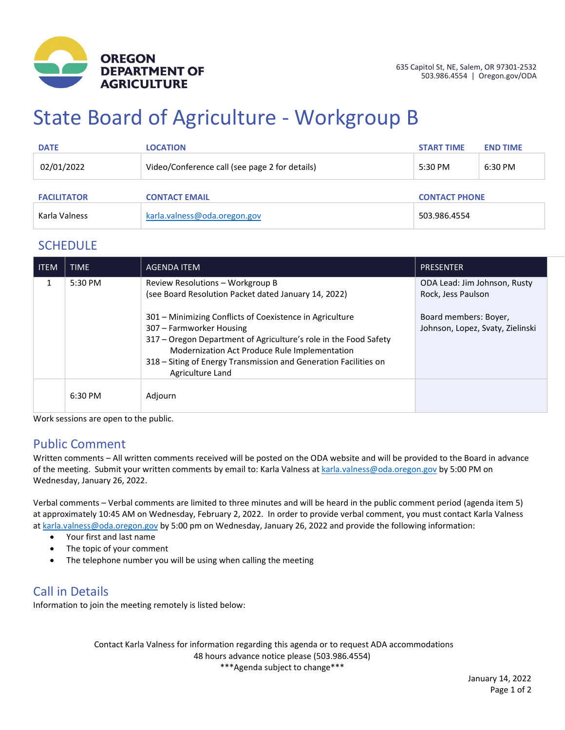

# State Board of Agriculture - Workgroup B

| <b>DATE</b>        | <b>LOCATION</b>                                | <b>START TIME</b>    | <b>END TIME</b> |
|--------------------|------------------------------------------------|----------------------|-----------------|
| 02/01/2022         | Video/Conference call (see page 2 for details) | $5:30$ PM            | 6:30 PM         |
| <b>FACILITATOR</b> | <b>CONTACT EMAIL</b>                           | <b>CONTACT PHONE</b> |                 |
| Karla Valness      | karla.valness@oda.oregon.gov                   | 503.986.4554         |                 |

#### **SCHEDULE**

| <b>ITEM</b> | <b>TIME</b> | <b>AGENDA ITEM</b>                                                                                                                                                                                                                                                                                | <b>PRESENTER</b>                                          |
|-------------|-------------|---------------------------------------------------------------------------------------------------------------------------------------------------------------------------------------------------------------------------------------------------------------------------------------------------|-----------------------------------------------------------|
| 1           | 5:30 PM     | Review Resolutions - Workgroup B<br>(see Board Resolution Packet dated January 14, 2022)                                                                                                                                                                                                          | ODA Lead: Jim Johnson, Rusty<br>Rock, Jess Paulson        |
|             |             | 301 – Minimizing Conflicts of Coexistence in Agriculture<br>307 – Farmworker Housing<br>317 - Oregon Department of Agriculture's role in the Food Safety<br>Modernization Act Produce Rule Implementation<br>318 – Siting of Energy Transmission and Generation Facilities on<br>Agriculture Land | Board members: Boyer,<br>Johnson, Lopez, Svaty, Zielinski |
|             | 6:30 PM     | Adjourn                                                                                                                                                                                                                                                                                           |                                                           |

Work sessions are open to the public.

### Public Comment

Written comments – All written comments received will be posted on the ODA website and will be provided to the Board in advance of the meeting. Submit your written comments by email to: Karla Valness a[t karla.valness@oda.oregon.gov](mailto:karla.valness@oda.oregon.gov) by 5:00 PM on Wednesday, January 26, 2022.

Verbal comments – Verbal comments are limited to three minutes and will be heard in the public comment period (agenda item 5) at approximately 10:45 AM on Wednesday, February 2, 2022. In order to provide verbal comment, you must contact Karla Valness a[t karla.valness@oda.oregon.gov](mailto:karla.valness@oda.oregon.gov) by 5:00 pm on Wednesday, January 26, 2022 and provide the following information:

- Your first and last name
- The topic of your comment
- The telephone number you will be using when calling the meeting

### Call in Details

Information to join the meeting remotely is listed below:

Contact Karla Valness for information regarding this agenda or to request ADA accommodations 48 hours advance notice please (503.986.4554) \*\*\*Agenda subject to change\*\*\*